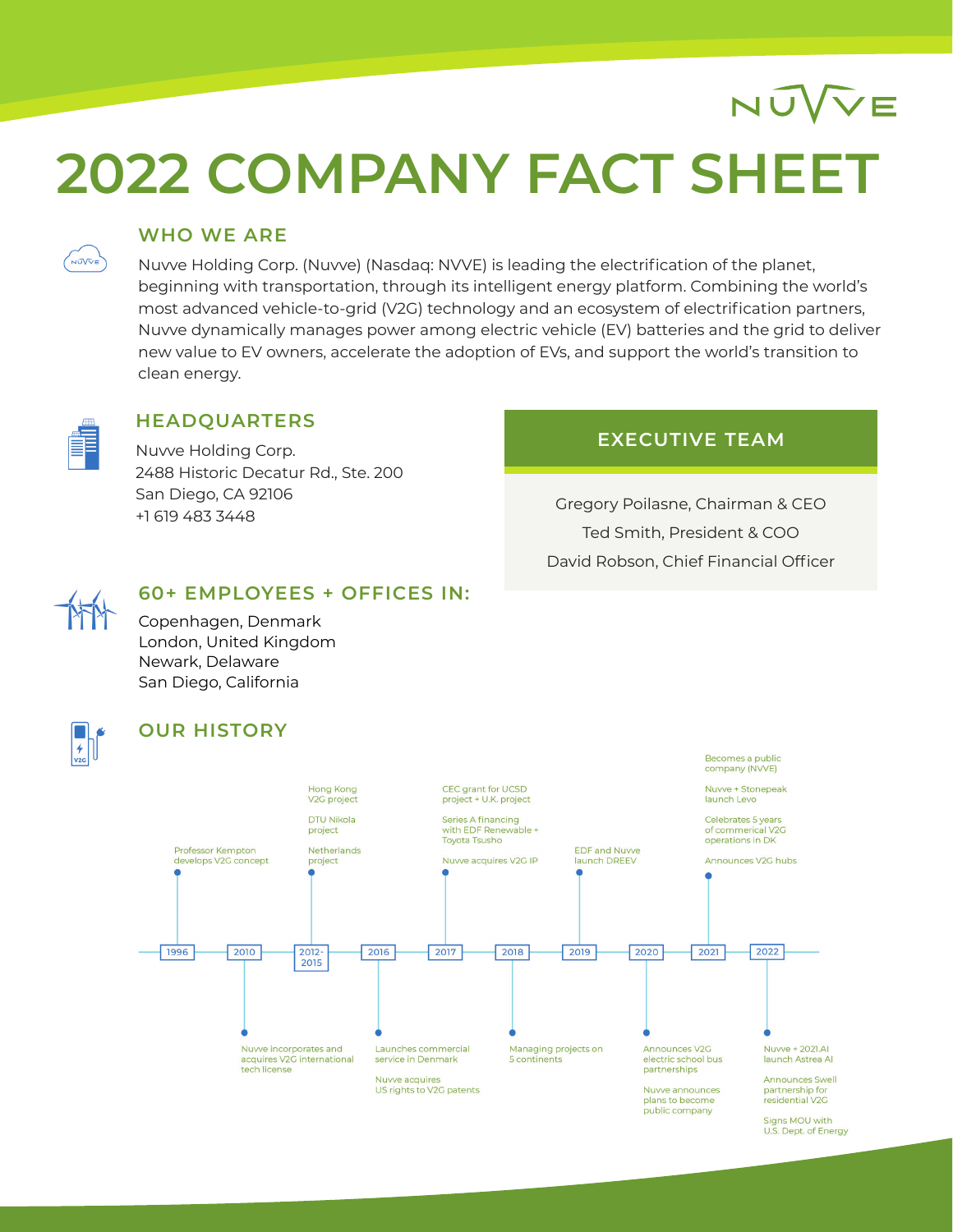# **2022 COMPANY FACT SHEET**

### **WHO WE ARE**

Nuvve Holding Corp. (Nuvve) (Nasdaq: NVVE) is leading the electrification of the planet, beginning with transportation, through its intelligent energy platform. Combining the world's most advanced vehicle-to-grid (V2G) technology and an ecosystem of electrification partners, Nuvve dynamically manages power among electric vehicle (EV) batteries and the grid to deliver new value to EV owners, accelerate the adoption of EVs, and support the world's transition to clean energy.



NŰVVE

#### **HEADQUARTERS**

Nuvve Holding Corp. 2488 Historic Decatur Rd., Ste. 200 San Diego, CA 92106 +1 619 483 3448

### **EXECUTIVE TEAM**

NÚVVE

Gregory Poilasne, Chairman & CEO Ted Smith, President & COO David Robson, Chief Financial Officer



### **60+ EMPLOYEES + OFFICES IN:**

Copenhagen, Denmark London, United Kingdom Newark, Delaware San Diego, California



#### **OUR HISTORY**



Signs MOU with U.S. Dept. of Energy